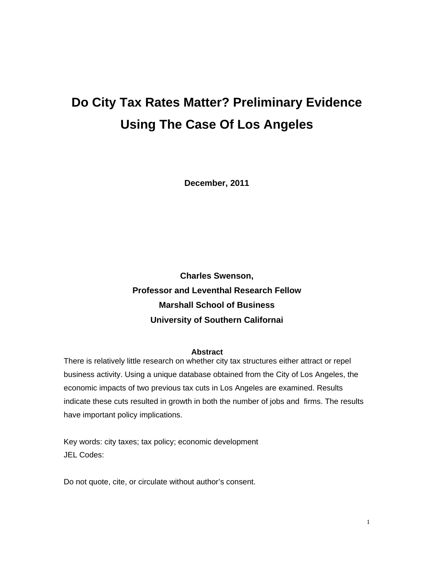# **Do City Tax Rates Matter? Preliminary Evidence Using The Case Of Los Angeles**

**December, 2011** 

**Charles Swenson, Professor and Leventhal Research Fellow Marshall School of Business University of Southern Californai** 

#### **Abstract**

There is relatively little research on whether city tax structures either attract or repel business activity. Using a unique database obtained from the City of Los Angeles, the economic impacts of two previous tax cuts in Los Angeles are examined. Results indicate these cuts resulted in growth in both the number of jobs and firms. The results have important policy implications.

Key words: city taxes; tax policy; economic development JEL Codes:

Do not quote, cite, or circulate without author's consent.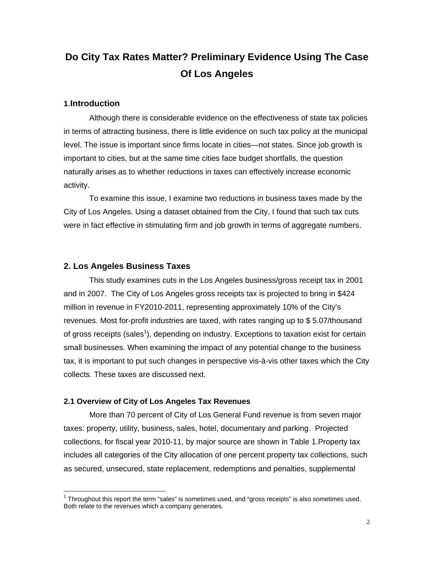# **Do City Tax Rates Matter? Preliminary Evidence Using The Case Of Los Angeles**

#### **1**.**Introduction**

 $\overline{a}$ 

Although there is considerable evidence on the effectiveness of state tax policies in terms of attracting business, there is little evidence on such tax policy at the municipal level. The issue is important since firms locate in cities—not states. Since job growth is important to cities, but at the same time cities face budget shortfalls, the question naturally arises as to whether reductions in taxes can effectively increase economic activity.

To examine this issue, I examine two reductions in business taxes made by the City of Los Angeles. Using a dataset obtained from the City, I found that such tax cuts were in fact effective in stimulating firm and job growth in terms of aggregate numbers.

#### **2. Los Angeles Business Taxes**

This study examines cuts in the Los Angeles business/gross receipt tax in 2001 and in 2007. The City of Los Angeles gross receipts tax is projected to bring in \$424 million in revenue in FY2010-2011, representing approximately 10% of the City's revenues. Most for-profit industries are taxed, with rates ranging up to \$ 5.07/thousand of gross receipts (sales<sup>1</sup>), depending on industry. Exceptions to taxation exist for certain small businesses. When examining the impact of any potential change to the business tax, it is important to put such changes in perspective vis-à-vis other taxes which the City collects. These taxes are discussed next.

#### **2.1 Overview of City of Los Angeles Tax Revenues**

More than 70 percent of City of Los General Fund revenue is from seven major taxes: property, utility, business, sales, hotel, documentary and parking. Projected collections, for fiscal year 2010-11, by major source are shown in Table 1.Property tax includes all categories of the City allocation of one percent property tax collections, such as secured, unsecured, state replacement, redemptions and penalties, supplemental

 $1$  Throughout this report the term "sales" is sometimes used, and "gross receipts" is also sometimes used. Both relate to the revenues which a company generates.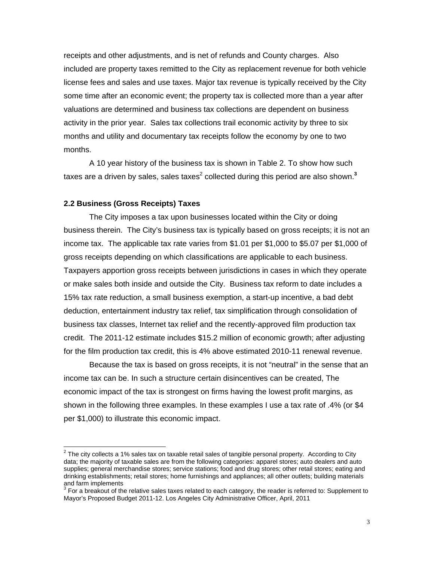receipts and other adjustments, and is net of refunds and County charges. Also included are property taxes remitted to the City as replacement revenue for both vehicle license fees and sales and use taxes. Major tax revenue is typically received by the City some time after an economic event; the property tax is collected more than a year after valuations are determined and business tax collections are dependent on business activity in the prior year. Sales tax collections trail economic activity by three to six months and utility and documentary tax receipts follow the economy by one to two months.

A 10 year history of the business tax is shown in Table 2. To show how such taxes are a driven by sales, sales taxes<sup>2</sup> collected during this period are also shown.<sup>3</sup>

#### **2.2 Business (Gross Receipts) Taxes**

The City imposes a tax upon businesses located within the City or doing business therein. The City's business tax is typically based on gross receipts; it is not an income tax. The applicable tax rate varies from \$1.01 per \$1,000 to \$5.07 per \$1,000 of gross receipts depending on which classifications are applicable to each business. Taxpayers apportion gross receipts between jurisdictions in cases in which they operate or make sales both inside and outside the City. Business tax reform to date includes a 15% tax rate reduction, a small business exemption, a start-up incentive, a bad debt deduction, entertainment industry tax relief, tax simplification through consolidation of business tax classes, Internet tax relief and the recently-approved film production tax credit. The 2011-12 estimate includes \$15.2 million of economic growth; after adjusting for the film production tax credit, this is 4% above estimated 2010-11 renewal revenue.

Because the tax is based on gross receipts, it is not "neutral" in the sense that an income tax can be. In such a structure certain disincentives can be created, The economic impact of the tax is strongest on firms having the lowest profit margins, as shown in the following three examples. In these examples I use a tax rate of .4% (or \$4 per \$1,000) to illustrate this economic impact.

 2 The city collects a 1% sales tax on taxable retail sales of tangible personal property. According to City data; the majority of taxable sales are from the following categories: apparel stores; auto dealers and auto supplies; general merchandise stores; service stations; food and drug stores; other retail stores; eating and drinking establishments; retail stores; home furnishings and appliances; all other outlets; building materials

and farm implements<br><sup>3</sup> For a breakout of the relative sales taxes related to each category, the reader is referred to: Supplement to Mayor's Proposed Budget 2011-12. Los Angeles City Administrative Officer, April, 2011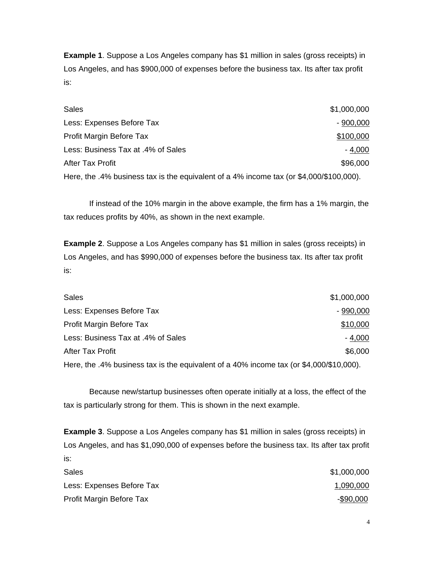**Example 1**. Suppose a Los Angeles company has \$1 million in sales (gross receipts) in Los Angeles, and has \$900,000 of expenses before the business tax. Its after tax profit is:

| <b>Sales</b>                                                                            | \$1,000,000 |
|-----------------------------------------------------------------------------------------|-------------|
| Less: Expenses Before Tax                                                               | $-900,000$  |
| Profit Margin Before Tax                                                                | \$100,000   |
| Less: Business Tax at .4% of Sales                                                      | $-4,000$    |
| <b>After Tax Profit</b>                                                                 | \$96,000    |
| Here, the .4% business tax is the equivalent of a 4% income tax (or \$4,000/\$100,000). |             |

If instead of the 10% margin in the above example, the firm has a 1% margin, the tax reduces profits by 40%, as shown in the next example.

**Example 2**. Suppose a Los Angeles company has \$1 million in sales (gross receipts) in Los Angeles, and has \$990,000 of expenses before the business tax. Its after tax profit is:

| <b>Sales</b>                       | \$1,000,000 |
|------------------------------------|-------------|
| Less: Expenses Before Tax          | $-990,000$  |
| Profit Margin Before Tax           | \$10,000    |
| Less: Business Tax at .4% of Sales | $-4,000$    |
| After Tax Profit                   | \$6,000     |
|                                    |             |

Here, the .4% business tax is the equivalent of a 40% income tax (or \$4,000/\$10,000).

Because new/startup businesses often operate initially at a loss, the effect of the tax is particularly strong for them. This is shown in the next example.

**Example 3**. Suppose a Los Angeles company has \$1 million in sales (gross receipts) in Los Angeles, and has \$1,090,000 of expenses before the business tax. Its after tax profit is:

| Sales                     | \$1,000,000 |
|---------------------------|-------------|
| Less: Expenses Before Tax | 1,090,000   |
| Profit Margin Before Tax  | -\$90,000   |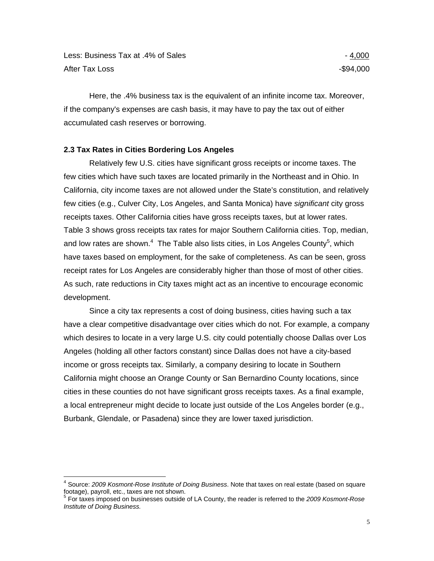Here, the .4% business tax is the equivalent of an infinite income tax. Moreover, if the company's expenses are cash basis, it may have to pay the tax out of either accumulated cash reserves or borrowing.

### **2.3 Tax Rates in Cities Bordering Los Angeles**

Relatively few U.S. cities have significant gross receipts or income taxes. The few cities which have such taxes are located primarily in the Northeast and in Ohio. In California, city income taxes are not allowed under the State's constitution, and relatively few cities (e.g., Culver City, Los Angeles, and Santa Monica) have *significant* city gross receipts taxes. Other California cities have gross receipts taxes, but at lower rates. Table 3 shows gross receipts tax rates for major Southern California cities. Top, median, and low rates are shown. $4$  The Table also lists cities, in Los Angeles County<sup>5</sup>, which have taxes based on employment, for the sake of completeness. As can be seen, gross receipt rates for Los Angeles are considerably higher than those of most of other cities. As such, rate reductions in City taxes might act as an incentive to encourage economic development.

Since a city tax represents a cost of doing business, cities having such a tax have a clear competitive disadvantage over cities which do not. For example, a company which desires to locate in a very large U.S. city could potentially choose Dallas over Los Angeles (holding all other factors constant) since Dallas does not have a city-based income or gross receipts tax. Similarly, a company desiring to locate in Southern California might choose an Orange County or San Bernardino County locations, since cities in these counties do not have significant gross receipts taxes. As a final example, a local entrepreneur might decide to locate just outside of the Los Angeles border (e.g., Burbank, Glendale, or Pasadena) since they are lower taxed jurisdiction.

 4 Source: *2009 Kosmont-Rose Institute of Doing Business*. Note that taxes on real estate (based on square footage), payroll, etc., taxes are not shown.

<sup>5</sup> For taxes imposed on businesses outside of LA County, the reader is referred to the *2009 Kosmont-Rose Institute of Doing Business.*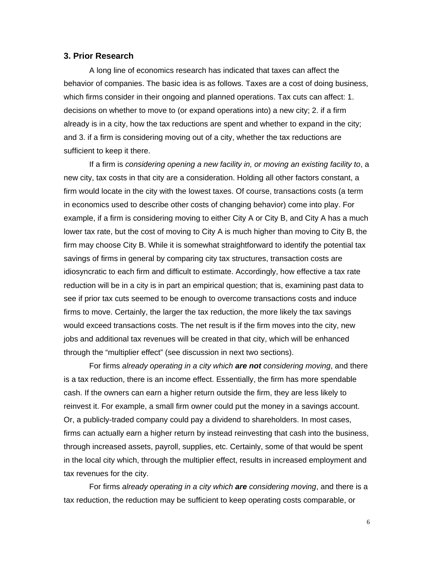#### **3. Prior Research**

A long line of economics research has indicated that taxes can affect the behavior of companies. The basic idea is as follows. Taxes are a cost of doing business, which firms consider in their ongoing and planned operations. Tax cuts can affect: 1. decisions on whether to move to (or expand operations into) a new city; 2. if a firm already is in a city, how the tax reductions are spent and whether to expand in the city; and 3. if a firm is considering moving out of a city, whether the tax reductions are sufficient to keep it there.

If a firm is *considering opening a new facility in, or moving an existing facility to*, a new city, tax costs in that city are a consideration. Holding all other factors constant, a firm would locate in the city with the lowest taxes. Of course, transactions costs (a term in economics used to describe other costs of changing behavior) come into play. For example, if a firm is considering moving to either City A or City B, and City A has a much lower tax rate, but the cost of moving to City A is much higher than moving to City B, the firm may choose City B. While it is somewhat straightforward to identify the potential tax savings of firms in general by comparing city tax structures, transaction costs are idiosyncratic to each firm and difficult to estimate. Accordingly, how effective a tax rate reduction will be in a city is in part an empirical question; that is, examining past data to see if prior tax cuts seemed to be enough to overcome transactions costs and induce firms to move. Certainly, the larger the tax reduction, the more likely the tax savings would exceed transactions costs. The net result is if the firm moves into the city, new jobs and additional tax revenues will be created in that city, which will be enhanced through the "multiplier effect" (see discussion in next two sections).

For firms *already operating in a city which are not considering moving*, and there is a tax reduction, there is an income effect. Essentially, the firm has more spendable cash. If the owners can earn a higher return outside the firm, they are less likely to reinvest it. For example, a small firm owner could put the money in a savings account. Or, a publicly-traded company could pay a dividend to shareholders. In most cases, firms can actually earn a higher return by instead reinvesting that cash into the business, through increased assets, payroll, supplies, etc. Certainly, some of that would be spent in the local city which, through the multiplier effect, results in increased employment and tax revenues for the city.

For firms *already operating in a city which are considering moving*, and there is a tax reduction, the reduction may be sufficient to keep operating costs comparable, or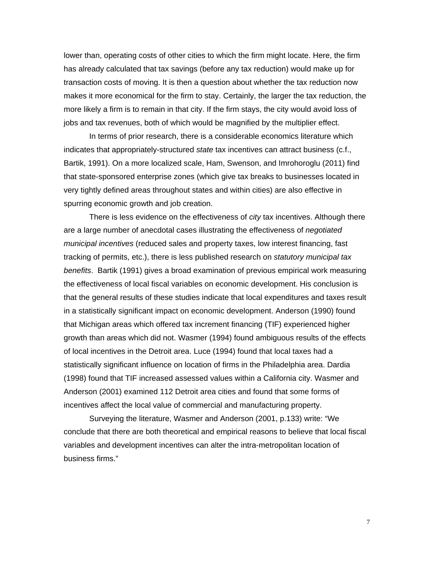lower than, operating costs of other cities to which the firm might locate. Here, the firm has already calculated that tax savings (before any tax reduction) would make up for transaction costs of moving. It is then a question about whether the tax reduction now makes it more economical for the firm to stay. Certainly, the larger the tax reduction, the more likely a firm is to remain in that city. If the firm stays, the city would avoid loss of jobs and tax revenues, both of which would be magnified by the multiplier effect.

In terms of prior research, there is a considerable economics literature which indicates that appropriately-structured *state* tax incentives can attract business (c.f., Bartik, 1991). On a more localized scale, Ham, Swenson, and Imrohoroglu (2011) find that state-sponsored enterprise zones (which give tax breaks to businesses located in very tightly defined areas throughout states and within cities) are also effective in spurring economic growth and job creation.

There is less evidence on the effectiveness of *city* tax incentives. Although there are a large number of anecdotal cases illustrating the effectiveness of *negotiated municipal incentives* (reduced sales and property taxes, low interest financing, fast tracking of permits, etc.), there is less published research on *statutory municipal tax benefits*. Bartik (1991) gives a broad examination of previous empirical work measuring the effectiveness of local fiscal variables on economic development. His conclusion is that the general results of these studies indicate that local expenditures and taxes result in a statistically significant impact on economic development. Anderson (1990) found that Michigan areas which offered tax increment financing (TIF) experienced higher growth than areas which did not. Wasmer (1994) found ambiguous results of the effects of local incentives in the Detroit area. Luce (1994) found that local taxes had a statistically significant influence on location of firms in the Philadelphia area. Dardia (1998) found that TIF increased assessed values within a California city. Wasmer and Anderson (2001) examined 112 Detroit area cities and found that some forms of incentives affect the local value of commercial and manufacturing property.

Surveying the literature, Wasmer and Anderson (2001, p.133) write: "We conclude that there are both theoretical and empirical reasons to believe that local fiscal variables and development incentives can alter the intra-metropolitan location of business firms."

7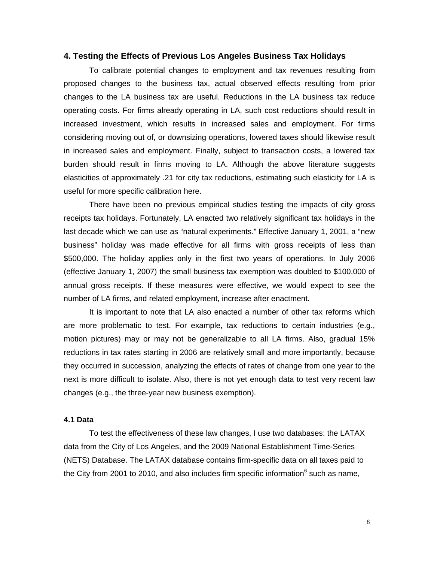#### **4. Testing the Effects of Previous Los Angeles Business Tax Holidays**

To calibrate potential changes to employment and tax revenues resulting from proposed changes to the business tax, actual observed effects resulting from prior changes to the LA business tax are useful. Reductions in the LA business tax reduce operating costs. For firms already operating in LA, such cost reductions should result in increased investment, which results in increased sales and employment. For firms considering moving out of, or downsizing operations, lowered taxes should likewise result in increased sales and employment. Finally, subject to transaction costs, a lowered tax burden should result in firms moving to LA. Although the above literature suggests elasticities of approximately .21 for city tax reductions, estimating such elasticity for LA is useful for more specific calibration here.

There have been no previous empirical studies testing the impacts of city gross receipts tax holidays. Fortunately, LA enacted two relatively significant tax holidays in the last decade which we can use as "natural experiments." Effective January 1, 2001, a "new business" holiday was made effective for all firms with gross receipts of less than \$500,000. The holiday applies only in the first two years of operations. In July 2006 (effective January 1, 2007) the small business tax exemption was doubled to \$100,000 of annual gross receipts. If these measures were effective, we would expect to see the number of LA firms, and related employment, increase after enactment.

It is important to note that LA also enacted a number of other tax reforms which are more problematic to test. For example, tax reductions to certain industries (e.g., motion pictures) may or may not be generalizable to all LA firms. Also, gradual 15% reductions in tax rates starting in 2006 are relatively small and more importantly, because they occurred in succession, analyzing the effects of rates of change from one year to the next is more difficult to isolate. Also, there is not yet enough data to test very recent law changes (e.g., the three-year new business exemption).

#### **4.1 Data**

 $\overline{a}$ 

To test the effectiveness of these law changes, I use two databases: the LATAX data from the City of Los Angeles, and the 2009 National Establishment Time-Series (NETS) Database. The LATAX database contains firm-specific data on all taxes paid to the City from 2001 to 2010, and also includes firm specific information<sup>6</sup> such as name,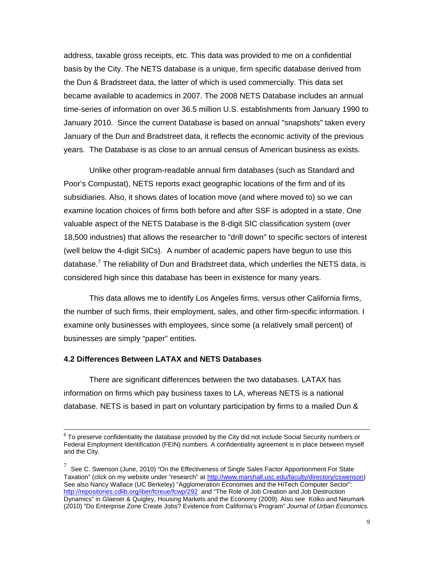address, taxable gross receipts, etc. This data was provided to me on a confidential basis by the City. The NETS database is a unique, firm specific database derived from the Dun & Bradstreet data, the latter of which is used commercially. This data set became available to academics in 2007. The 2008 NETS Database includes an annual time-series of information on over 36.5 million U.S. establishments from January 1990 to January 2010. Since the current Database is based on annual "snapshots" taken every January of the Dun and Bradstreet data, it reflects the economic activity of the previous years. The Database is as close to an annual census of American business as exists.

Unlike other program-readable annual firm databases (such as Standard and Poor's Compustat), NETS reports exact geographic locations of the firm and of its subsidiaries. Also, it shows dates of location move (and where moved to) so we can examine location choices of firms both before and after SSF is adopted in a state. One valuable aspect of the NETS Database is the 8-digit SIC classification system (over 18,500 industries) that allows the researcher to "drill down" to specific sectors of interest (well below the 4-digit SICs). A number of academic papers have begun to use this database.<sup>7</sup> The reliability of Dun and Bradstreet data, which underlies the NETS data, is considered high since this database has been in existence for many years.

This data allows me to identify Los Angeles firms, versus other California firms, the number of such firms, their employment, sales, and other firm-specific information. I examine only businesses with employees, since some (a relatively small percent) of businesses are simply "paper" entities.

#### **4.2 Differences Between LATAX and NETS Databases**

There are significant differences between the two databases. LATAX has information on firms which pay business taxes to LA, whereas NETS is a national database. NETS is based in part on voluntary participation by firms to a mailed Dun &

<sup>-&</sup>lt;br>6  $6$  To preserve confidentiality the database provided by the City did not include Social Security numbers or Federal Employment Identification (FEIN) numbers. A confidentiality agreement is in place between myself and the City.

 $^7$  See C. Swenson (June, 2010) "On the Effectiveness of Single Sales Factor Apportionment For State Taxation" (click on my website under "research" at http://www.marshall.usc.edu/faculty/directory/cswenson) See also Nancy Wallace (UC Berkeley) "Agglomeration Economies and the HiTech Computer Sector": http://repositories.cdlib.org/iber/fcreue/fcwp/292 and "The Role of Job Creation and Job Destruction Dynamics" in Glaeser & Quigley, Housing Markets and the Economy (2009). Also see Kolko and Neumark (2010) "Do Enterprise Zone Create Jobs? Evidence from California's Program" *Journal of Urban Economics.*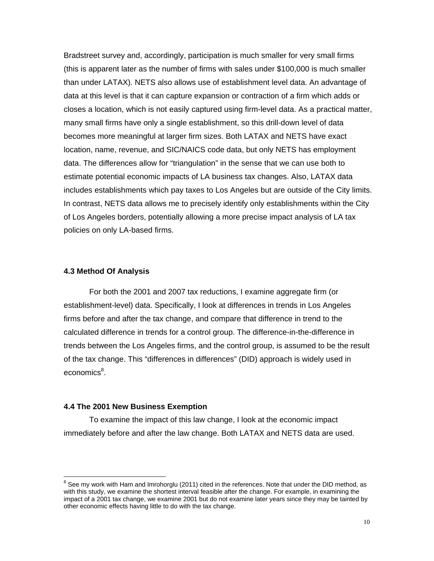Bradstreet survey and, accordingly, participation is much smaller for very small firms (this is apparent later as the number of firms with sales under \$100,000 is much smaller than under LATAX). NETS also allows use of establishment level data. An advantage of data at this level is that it can capture expansion or contraction of a firm which adds or closes a location, which is not easily captured using firm-level data. As a practical matter, many small firms have only a single establishment, so this drill-down level of data becomes more meaningful at larger firm sizes. Both LATAX and NETS have exact location, name, revenue, and SIC/NAICS code data, but only NETS has employment data. The differences allow for "triangulation" in the sense that we can use both to estimate potential economic impacts of LA business tax changes. Also, LATAX data includes establishments which pay taxes to Los Angeles but are outside of the City limits. In contrast, NETS data allows me to precisely identify only establishments within the City of Los Angeles borders, potentially allowing a more precise impact analysis of LA tax policies on only LA-based firms.

#### **4.3 Method Of Analysis**

 $\overline{a}$ 

For both the 2001 and 2007 tax reductions, I examine aggregate firm (or establishment-level) data. Specifically, I look at differences in trends in Los Angeles firms before and after the tax change, and compare that difference in trend to the calculated difference in trends for a control group. The difference-in-the-difference in trends between the Los Angeles firms, and the control group, is assumed to be the result of the tax change. This "differences in differences" (DID) approach is widely used in economics<sup>8</sup>.

#### **4.4 The 2001 New Business Exemption**

To examine the impact of this law change, I look at the economic impact immediately before and after the law change. Both LATAX and NETS data are used.

 $8$  See my work with Ham and Imrohorglu (2011) cited in the references. Note that under the DID method, as with this study, we examine the shortest interval feasible after the change. For example, in examining the impact of a 2001 tax change, we examine 2001 but do not examine later years since they may be tainted by other economic effects having little to do with the tax change.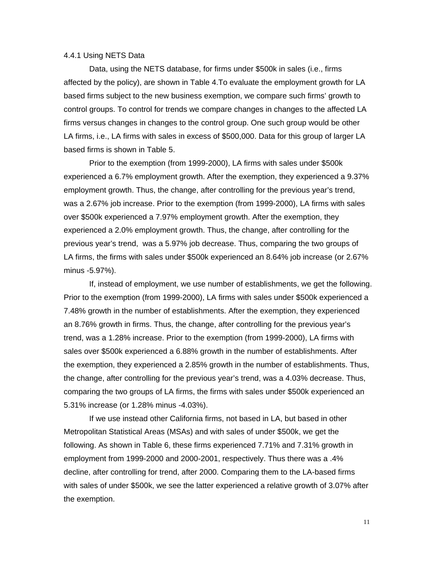#### 4.4.1 Using NETS Data

Data, using the NETS database, for firms under \$500k in sales (i.e., firms affected by the policy), are shown in Table 4.To evaluate the employment growth for LA based firms subject to the new business exemption, we compare such firms' growth to control groups. To control for trends we compare changes in changes to the affected LA firms versus changes in changes to the control group. One such group would be other LA firms, i.e., LA firms with sales in excess of \$500,000. Data for this group of larger LA based firms is shown in Table 5.

Prior to the exemption (from 1999-2000), LA firms with sales under \$500k experienced a 6.7% employment growth. After the exemption, they experienced a 9.37% employment growth. Thus, the change, after controlling for the previous year's trend, was a 2.67% job increase. Prior to the exemption (from 1999-2000), LA firms with sales over \$500k experienced a 7.97% employment growth. After the exemption, they experienced a 2.0% employment growth. Thus, the change, after controlling for the previous year's trend, was a 5.97% job decrease. Thus, comparing the two groups of LA firms, the firms with sales under \$500k experienced an 8.64% job increase (or 2.67% minus -5.97%).

If, instead of employment, we use number of establishments, we get the following. Prior to the exemption (from 1999-2000), LA firms with sales under \$500k experienced a 7.48% growth in the number of establishments. After the exemption, they experienced an 8.76% growth in firms. Thus, the change, after controlling for the previous year's trend, was a 1.28% increase. Prior to the exemption (from 1999-2000), LA firms with sales over \$500k experienced a 6.88% growth in the number of establishments. After the exemption, they experienced a 2.85% growth in the number of establishments. Thus, the change, after controlling for the previous year's trend, was a 4.03% decrease. Thus, comparing the two groups of LA firms, the firms with sales under \$500k experienced an 5.31% increase (or 1.28% minus -4.03%).

If we use instead other California firms, not based in LA, but based in other Metropolitan Statistical Areas (MSAs) and with sales of under \$500k, we get the following. As shown in Table 6, these firms experienced 7.71% and 7.31% growth in employment from 1999-2000 and 2000-2001, respectively. Thus there was a .4% decline, after controlling for trend, after 2000. Comparing them to the LA-based firms with sales of under \$500k, we see the latter experienced a relative growth of 3.07% after the exemption.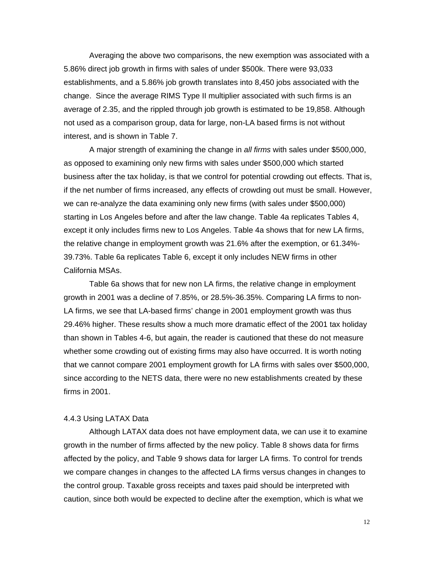Averaging the above two comparisons, the new exemption was associated with a 5.86% direct job growth in firms with sales of under \$500k. There were 93,033 establishments, and a 5.86% job growth translates into 8,450 jobs associated with the change. Since the average RIMS Type II multiplier associated with such firms is an average of 2.35, and the rippled through job growth is estimated to be 19,858. Although not used as a comparison group, data for large, non-LA based firms is not without interest, and is shown in Table 7.

A major strength of examining the change in *all firms* with sales under \$500,000, as opposed to examining only new firms with sales under \$500,000 which started business after the tax holiday, is that we control for potential crowding out effects. That is, if the net number of firms increased, any effects of crowding out must be small. However, we can re-analyze the data examining only new firms (with sales under \$500,000) starting in Los Angeles before and after the law change. Table 4a replicates Tables 4, except it only includes firms new to Los Angeles. Table 4a shows that for new LA firms, the relative change in employment growth was 21.6% after the exemption, or 61.34%- 39.73%. Table 6a replicates Table 6, except it only includes NEW firms in other California MSAs.

Table 6a shows that for new non LA firms, the relative change in employment growth in 2001 was a decline of 7.85%, or 28.5%-36.35%. Comparing LA firms to non-LA firms, we see that LA-based firms' change in 2001 employment growth was thus 29.46% higher. These results show a much more dramatic effect of the 2001 tax holiday than shown in Tables 4-6, but again, the reader is cautioned that these do not measure whether some crowding out of existing firms may also have occurred. It is worth noting that we cannot compare 2001 employment growth for LA firms with sales over \$500,000, since according to the NETS data, there were no new establishments created by these firms in 2001.

#### 4.4.3 Using LATAX Data

Although LATAX data does not have employment data, we can use it to examine growth in the number of firms affected by the new policy. Table 8 shows data for firms affected by the policy, and Table 9 shows data for larger LA firms. To control for trends we compare changes in changes to the affected LA firms versus changes in changes to the control group. Taxable gross receipts and taxes paid should be interpreted with caution, since both would be expected to decline after the exemption, which is what we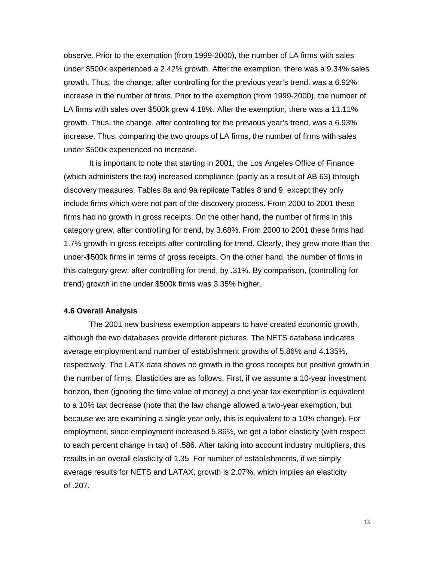observe. Prior to the exemption (from 1999-2000), the number of LA firms with sales under \$500k experienced a 2.42% growth. After the exemption, there was a 9.34% sales growth. Thus, the change, after controlling for the previous year's trend, was a 6.92% increase in the number of firms. Prior to the exemption (from 1999-2000), the number of LA firms with sales over \$500k grew 4.18%. After the exemption, there was a 11.11% growth. Thus, the change, after controlling for the previous year's trend, was a 6.93% increase. Thus, comparing the two groups of LA firms, the number of firms with sales under \$500k experienced no increase.

It is important to note that starting in 2001, the Los Angeles Office of Finance (which administers the tax) increased compliance (partly as a result of AB 63) through discovery measures. Tables 8a and 9a replicate Tables 8 and 9, except they only include firms which were not part of the discovery process. From 2000 to 2001 these firms had no growth in gross receipts. On the other hand, the number of firms in this category grew, after controlling for trend, by 3.68%. From 2000 to 2001 these firms had 1.7% growth in gross receipts after controlling for trend. Clearly, they grew more than the under-\$500k firms in terms of gross receipts. On the other hand, the number of firms in this category grew, after controlling for trend, by .31%. By comparison, (controlling for trend) growth in the under \$500k firms was 3.35% higher.

#### **4.6 Overall Analysis**

The 2001 new business exemption appears to have created economic growth, although the two databases provide different pictures. The NETS database indicates average employment and number of establishment growths of 5.86% and 4.135%, respectively. The LATX data shows no growth in the gross receipts but positive growth in the number of firms. Elasticities are as follows. First, if we assume a 10-year investment horizon, then (ignoring the time value of money) a one-year tax exemption is equivalent to a 10% tax decrease (note that the law change allowed a two-year exemption, but because we are examining a single year only, this is equivalent to a 10% change). For employment, since employment increased 5.86%, we get a labor elasticity (with respect to each percent change in tax) of .586. After taking into account industry multipliers, this results in an overall elasticity of 1.35. For number of establishments, if we simply average results for NETS and LATAX, growth is 2.07%, which implies an elasticity of .207.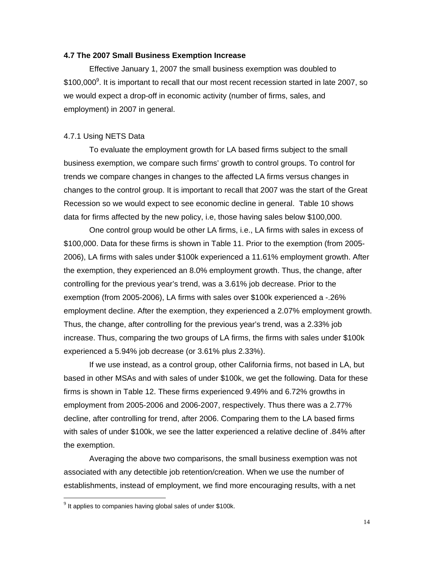#### **4.7 The 2007 Small Business Exemption Increase**

Effective January 1, 2007 the small business exemption was doubled to \$100,000<sup>9</sup>. It is important to recall that our most recent recession started in late 2007, so we would expect a drop-off in economic activity (number of firms, sales, and employment) in 2007 in general.

#### 4.7.1 Using NETS Data

To evaluate the employment growth for LA based firms subject to the small business exemption, we compare such firms' growth to control groups. To control for trends we compare changes in changes to the affected LA firms versus changes in changes to the control group. It is important to recall that 2007 was the start of the Great Recession so we would expect to see economic decline in general. Table 10 shows data for firms affected by the new policy, i.e, those having sales below \$100,000.

One control group would be other LA firms, i.e., LA firms with sales in excess of \$100,000. Data for these firms is shown in Table 11. Prior to the exemption (from 2005- 2006), LA firms with sales under \$100k experienced a 11.61% employment growth. After the exemption, they experienced an 8.0% employment growth. Thus, the change, after controlling for the previous year's trend, was a 3.61% job decrease. Prior to the exemption (from 2005-2006), LA firms with sales over \$100k experienced a -.26% employment decline. After the exemption, they experienced a 2.07% employment growth. Thus, the change, after controlling for the previous year's trend, was a 2.33% job increase. Thus, comparing the two groups of LA firms, the firms with sales under \$100k experienced a 5.94% job decrease (or 3.61% plus 2.33%).

If we use instead, as a control group, other California firms, not based in LA, but based in other MSAs and with sales of under \$100k, we get the following. Data for these firms is shown in Table 12. These firms experienced 9.49% and 6.72% growths in employment from 2005-2006 and 2006-2007, respectively. Thus there was a 2.77% decline, after controlling for trend, after 2006. Comparing them to the LA based firms with sales of under \$100k, we see the latter experienced a relative decline of .84% after the exemption.

Averaging the above two comparisons, the small business exemption was not associated with any detectible job retention/creation. When we use the number of establishments, instead of employment, we find more encouraging results, with a net

 $\overline{a}$ 

 $9$  It applies to companies having global sales of under \$100k.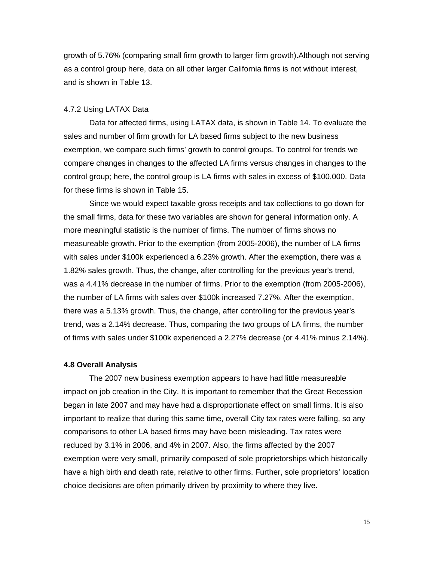growth of 5.76% (comparing small firm growth to larger firm growth).Although not serving as a control group here, data on all other larger California firms is not without interest, and is shown in Table 13.

#### 4.7.2 Using LATAX Data

Data for affected firms, using LATAX data, is shown in Table 14. To evaluate the sales and number of firm growth for LA based firms subject to the new business exemption, we compare such firms' growth to control groups. To control for trends we compare changes in changes to the affected LA firms versus changes in changes to the control group; here, the control group is LA firms with sales in excess of \$100,000. Data for these firms is shown in Table 15.

Since we would expect taxable gross receipts and tax collections to go down for the small firms, data for these two variables are shown for general information only. A more meaningful statistic is the number of firms. The number of firms shows no measureable growth. Prior to the exemption (from 2005-2006), the number of LA firms with sales under \$100k experienced a 6.23% growth. After the exemption, there was a 1.82% sales growth. Thus, the change, after controlling for the previous year's trend, was a 4.41% decrease in the number of firms. Prior to the exemption (from 2005-2006), the number of LA firms with sales over \$100k increased 7.27%. After the exemption, there was a 5.13% growth. Thus, the change, after controlling for the previous year's trend, was a 2.14% decrease. Thus, comparing the two groups of LA firms, the number of firms with sales under \$100k experienced a 2.27% decrease (or 4.41% minus 2.14%).

#### **4.8 Overall Analysis**

The 2007 new business exemption appears to have had little measureable impact on job creation in the City. It is important to remember that the Great Recession began in late 2007 and may have had a disproportionate effect on small firms. It is also important to realize that during this same time, overall City tax rates were falling, so any comparisons to other LA based firms may have been misleading. Tax rates were reduced by 3.1% in 2006, and 4% in 2007. Also, the firms affected by the 2007 exemption were very small, primarily composed of sole proprietorships which historically have a high birth and death rate, relative to other firms. Further, sole proprietors' location choice decisions are often primarily driven by proximity to where they live.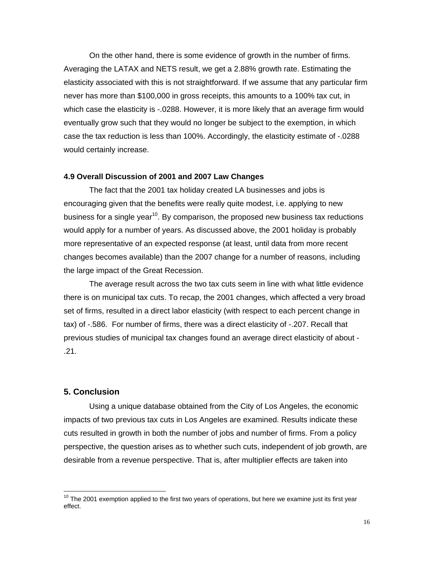On the other hand, there is some evidence of growth in the number of firms. Averaging the LATAX and NETS result, we get a 2.88% growth rate. Estimating the elasticity associated with this is not straightforward. If we assume that any particular firm never has more than \$100,000 in gross receipts, this amounts to a 100% tax cut, in which case the elasticity is -.0288. However, it is more likely that an average firm would eventually grow such that they would no longer be subject to the exemption, in which case the tax reduction is less than 100%. Accordingly, the elasticity estimate of -.0288 would certainly increase.

#### **4.9 Overall Discussion of 2001 and 2007 Law Changes**

The fact that the 2001 tax holiday created LA businesses and jobs is encouraging given that the benefits were really quite modest, i.e. applying to new business for a single year<sup>10</sup>. By comparison, the proposed new business tax reductions would apply for a number of years. As discussed above, the 2001 holiday is probably more representative of an expected response (at least, until data from more recent changes becomes available) than the 2007 change for a number of reasons, including the large impact of the Great Recession.

The average result across the two tax cuts seem in line with what little evidence there is on municipal tax cuts. To recap, the 2001 changes, which affected a very broad set of firms, resulted in a direct labor elasticity (with respect to each percent change in tax) of -.586. For number of firms, there was a direct elasticity of -.207. Recall that previous studies of municipal tax changes found an average direct elasticity of about - .21.

### **5. Conclusion**

 $\overline{a}$ 

Using a unique database obtained from the City of Los Angeles, the economic impacts of two previous tax cuts in Los Angeles are examined. Results indicate these cuts resulted in growth in both the number of jobs and number of firms. From a policy perspective, the question arises as to whether such cuts, independent of job growth, are desirable from a revenue perspective. That is, after multiplier effects are taken into

 $10$  The 2001 exemption applied to the first two years of operations, but here we examine just its first year effect.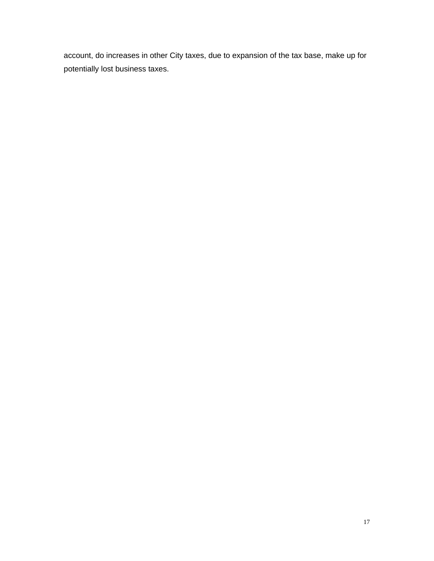account, do increases in other City taxes, due to expansion of the tax base, make up for potentially lost business taxes.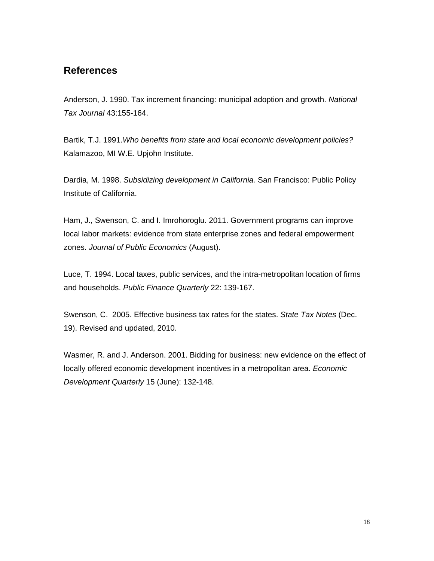# **References**

Anderson, J. 1990. Tax increment financing: municipal adoption and growth. *National Tax Journal* 43:155-164.

Bartik, T.J. 1991.*Who benefits from state and local economic development policies?* Kalamazoo, MI W.E. Upjohn Institute.

Dardia, M. 1998. *Subsidizing development in California.* San Francisco: Public Policy Institute of California.

Ham, J., Swenson, C. and I. Imrohoroglu. 2011. Government programs can improve local labor markets: evidence from state enterprise zones and federal empowerment zones. *Journal of Public Economics* (August).

Luce, T. 1994. Local taxes, public services, and the intra-metropolitan location of firms and households. *Public Finance Quarterly* 22: 139-167.

Swenson, C. 2005. Effective business tax rates for the states. *State Tax Notes* (Dec. 19). Revised and updated, 2010.

Wasmer, R. and J. Anderson. 2001. Bidding for business: new evidence on the effect of locally offered economic development incentives in a metropolitan area. *Economic Development Quarterly* 15 (June): 132-148.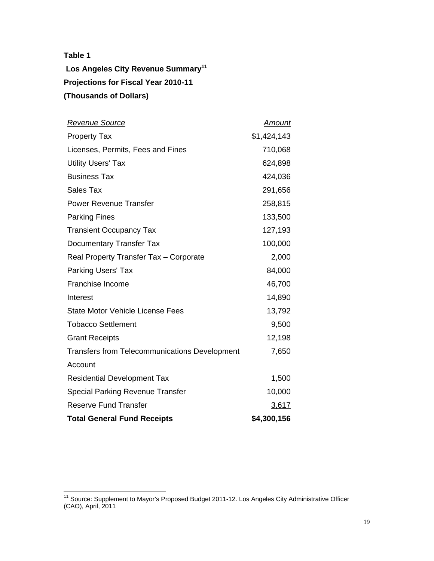$\overline{a}$ 

Los Angeles City Revenue Summary<sup>11</sup> **Projections for Fiscal Year 2010-11 (Thousands of Dollars)** 

| <u>Revenue Source</u>                                | <u>Amount</u> |
|------------------------------------------------------|---------------|
| <b>Property Tax</b>                                  | \$1,424,143   |
| Licenses, Permits, Fees and Fines                    | 710,068       |
| <b>Utility Users' Tax</b>                            | 624,898       |
| <b>Business Tax</b>                                  | 424,036       |
| <b>Sales Tax</b>                                     | 291,656       |
| <b>Power Revenue Transfer</b>                        | 258,815       |
| <b>Parking Fines</b>                                 | 133,500       |
| <b>Transient Occupancy Tax</b>                       | 127,193       |
| Documentary Transfer Tax                             | 100,000       |
| Real Property Transfer Tax - Corporate               | 2,000         |
| <b>Parking Users' Tax</b>                            | 84,000        |
| Franchise Income                                     | 46,700        |
| Interest                                             | 14,890        |
| <b>State Motor Vehicle License Fees</b>              | 13,792        |
| <b>Tobacco Settlement</b>                            | 9,500         |
| <b>Grant Receipts</b>                                | 12,198        |
| <b>Transfers from Telecommunications Development</b> | 7,650         |
| Account                                              |               |
| <b>Residential Development Tax</b>                   | 1,500         |
| <b>Special Parking Revenue Transfer</b>              | 10,000        |
| <b>Reserve Fund Transfer</b>                         | 3,617         |
| <b>Total General Fund Receipts</b>                   | \$4,300,156   |

<sup>&</sup>lt;sup>11</sup> Source: Supplement to Mayor's Proposed Budget 2011-12. Los Angeles City Administrative Officer (CAO), April, 2011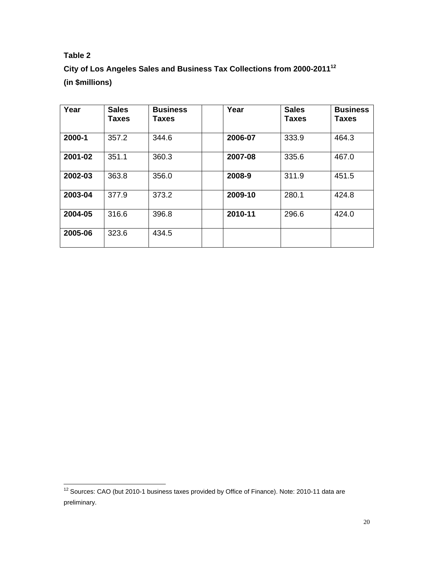$\overline{a}$ 

**City of Los Angeles Sales and Business Tax Collections from 2000-201112 (in \$millions)** 

| Year    | <b>Sales</b><br><b>Taxes</b> | <b>Business</b><br>Taxes | Year    | <b>Sales</b><br><b>Taxes</b> | <b>Business</b><br><b>Taxes</b> |
|---------|------------------------------|--------------------------|---------|------------------------------|---------------------------------|
| 2000-1  | 357.2                        | 344.6                    | 2006-07 | 333.9                        | 464.3                           |
| 2001-02 | 351.1                        | 360.3                    | 2007-08 | 335.6                        | 467.0                           |
| 2002-03 | 363.8                        | 356.0                    | 2008-9  | 311.9                        | 451.5                           |
| 2003-04 | 377.9                        | 373.2                    | 2009-10 | 280.1                        | 424.8                           |
| 2004-05 | 316.6                        | 396.8                    | 2010-11 | 296.6                        | 424.0                           |
| 2005-06 | 323.6                        | 434.5                    |         |                              |                                 |

 $12$  Sources: CAO (but 2010-1 business taxes provided by Office of Finance). Note: 2010-11 data are preliminary.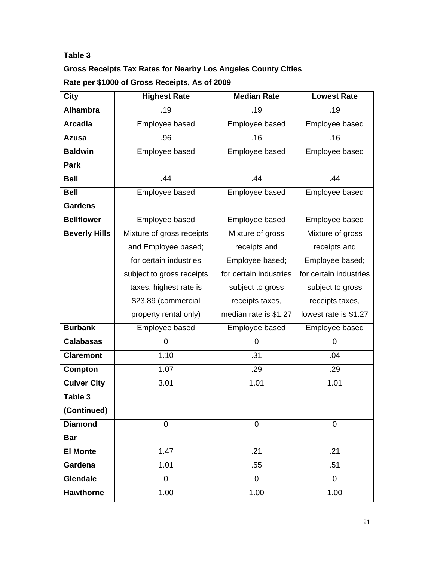# **Gross Receipts Tax Rates for Nearby Los Angeles County Cities Rate per \$1000 of Gross Receipts, As of 2009**

| City                 | <b>Highest Rate</b>       | <b>Median Rate</b>     | <b>Lowest Rate</b>     |
|----------------------|---------------------------|------------------------|------------------------|
| <b>Alhambra</b>      | .19                       | .19                    | .19                    |
| <b>Arcadia</b>       | Employee based            | Employee based         | Employee based         |
| <b>Azusa</b>         | .96                       | .16                    | .16                    |
| <b>Baldwin</b>       | Employee based            | Employee based         | Employee based         |
| Park                 |                           |                        |                        |
| <b>Bell</b>          | .44                       | .44                    | .44                    |
| <b>Bell</b>          | Employee based            | Employee based         | Employee based         |
| <b>Gardens</b>       |                           |                        |                        |
| <b>Bellflower</b>    | Employee based            | Employee based         | Employee based         |
| <b>Beverly Hills</b> | Mixture of gross receipts | Mixture of gross       | Mixture of gross       |
|                      | and Employee based;       | receipts and           | receipts and           |
|                      | for certain industries    | Employee based;        | Employee based;        |
|                      | subject to gross receipts | for certain industries | for certain industries |
|                      | taxes, highest rate is    | subject to gross       | subject to gross       |
|                      | \$23.89 (commercial       | receipts taxes,        | receipts taxes,        |
|                      | property rental only)     | median rate is \$1.27  | lowest rate is \$1.27  |
| <b>Burbank</b>       | Employee based            | Employee based         | Employee based         |
| <b>Calabasas</b>     | 0                         | $\overline{0}$         | 0                      |
| <b>Claremont</b>     | 1.10                      | .31                    | .04                    |
| Compton              | 1.07                      | .29                    | .29                    |
| <b>Culver City</b>   | 3.01                      | 1.01                   | 1.01                   |
| Table 3              |                           |                        |                        |
| (Continued)          |                           |                        |                        |
| <b>Diamond</b>       | $\overline{0}$            | $\overline{0}$         | $\mathbf 0$            |
| <b>Bar</b>           |                           |                        |                        |
| <b>El Monte</b>      | 1.47                      | .21                    | .21                    |
| Gardena              | 1.01                      | .55                    | .51                    |
| Glendale             | $\overline{0}$            | $\overline{0}$         | $\overline{0}$         |
| <b>Hawthorne</b>     | 1.00                      | 1.00                   | 1.00                   |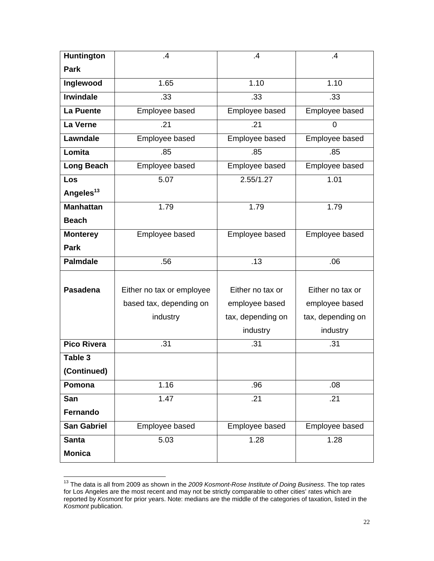| Huntington            | .4                        | .4                | $\mathbf{.4}$     |
|-----------------------|---------------------------|-------------------|-------------------|
| Park                  |                           |                   |                   |
| Inglewood             | 1.65                      | 1.10              | 1.10              |
| <b>Irwindale</b>      | .33                       | .33               | .33               |
| La Puente             | Employee based            | Employee based    | Employee based    |
| La Verne              | .21                       | .21               | 0                 |
| Lawndale              | Employee based            | Employee based    | Employee based    |
| Lomita                | .85                       | .85               | .85               |
| <b>Long Beach</b>     | Employee based            | Employee based    | Employee based    |
| Los                   | 5.07                      | 2.55/1.27         | 1.01              |
| Angeles <sup>13</sup> |                           |                   |                   |
| <b>Manhattan</b>      | 1.79                      | 1.79              | 1.79              |
| <b>Beach</b>          |                           |                   |                   |
| <b>Monterey</b>       | Employee based            | Employee based    | Employee based    |
| <b>Park</b>           |                           |                   |                   |
| <b>Palmdale</b>       | .56                       | .13               | .06               |
|                       |                           |                   |                   |
| <b>Pasadena</b>       | Either no tax or employee | Either no tax or  | Either no tax or  |
|                       | based tax, depending on   | employee based    | employee based    |
|                       | industry                  | tax, depending on | tax, depending on |
|                       |                           | industry          | industry          |
| <b>Pico Rivera</b>    | .31                       | .31               | .31               |
| Table 3               |                           |                   |                   |
| (Continued)           |                           |                   |                   |
| Pomona                | 1.16                      | .96               | .08               |
| San                   | 1.47                      | .21               | .21               |
| Fernando              |                           |                   |                   |
| <b>San Gabriel</b>    | Employee based            | Employee based    | Employee based    |
| <b>Santa</b>          | 5.03                      | 1.28              | 1.28              |
| <b>Monica</b>         |                           |                   |                   |

<sup>13</sup> The data is all from 2009 as shown in the *2009 Kosmont-Rose Institute of Doing Business*. The top rates for Los Angeles are the most recent and may not be strictly comparable to other cities' rates which are reported by *Kosmont* for prior years. Note: medians are the middle of the categories of taxation, listed in the *Kosmont* publication.

 $\overline{a}$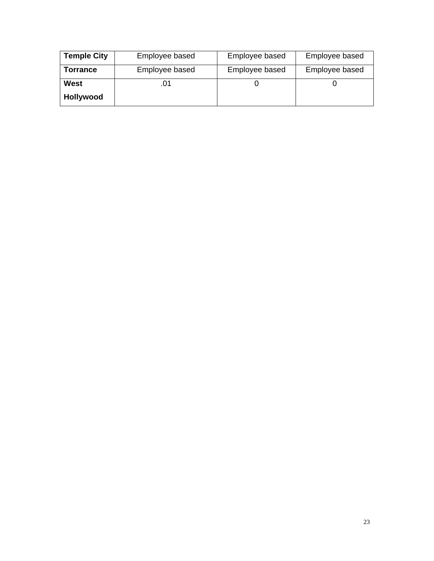| <b>Temple City</b> | Employee based | Employee based | Employee based |
|--------------------|----------------|----------------|----------------|
| Torrance           | Employee based | Employee based | Employee based |
| West               |                |                |                |
| <b>Hollywood</b>   |                |                |                |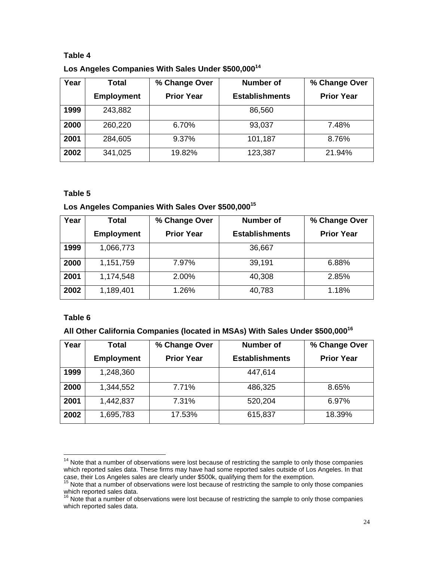| Los Angeles Companies With Sales Under \$500,000 <sup>14</sup> |  |
|----------------------------------------------------------------|--|
|----------------------------------------------------------------|--|

| Year | Total             | % Change Over     | <b>Number of</b>      | % Change Over     |
|------|-------------------|-------------------|-----------------------|-------------------|
|      | <b>Employment</b> | <b>Prior Year</b> | <b>Establishments</b> | <b>Prior Year</b> |
| 1999 | 243,882           |                   | 86,560                |                   |
| 2000 | 260,220           | 6.70%             | 93,037                | 7.48%             |
| 2001 | 284,605           | 9.37%             | 101,187               | 8.76%             |
| 2002 | 341,025           | 19.82%            | 123,387               | 21.94%            |

## **Table 5**

## **Los Angeles Companies With Sales Over \$500,00015**

| Year | Total             | % Change Over     | <b>Number of</b>      | % Change Over     |
|------|-------------------|-------------------|-----------------------|-------------------|
|      | <b>Employment</b> | <b>Prior Year</b> | <b>Establishments</b> | <b>Prior Year</b> |
| 1999 | 1,066,773         |                   | 36,667                |                   |
| 2000 | 1,151,759         | 7.97%             | 39,191                | 6.88%             |
| 2001 | 1,174,548         | 2.00%             | 40,308                | 2.85%             |
| 2002 | 1,189,401         | 1.26%             | 40,783                | 1.18%             |

## **Table 6**

 $\overline{a}$ 

# **All Other California Companies (located in MSAs) With Sales Under \$500,000<sup>16</sup>**

| Year | Total             | % Change Over     | <b>Number of</b>      | % Change Over     |
|------|-------------------|-------------------|-----------------------|-------------------|
|      | <b>Employment</b> | <b>Prior Year</b> | <b>Establishments</b> | <b>Prior Year</b> |
| 1999 | 1,248,360         |                   | 447,614               |                   |
| 2000 | 1,344,552         | 7.71%             | 486,325               | 8.65%             |
| 2001 | 1,442,837         | 7.31%             | 520,204               | 6.97%             |
| 2002 | 1,695,783         | 17.53%            | 615,837               | 18.39%            |

 $14$  Note that a number of observations were lost because of restricting the sample to only those companies which reported sales data. These firms may have had some reported sales outside of Los Angeles. In that case, their Los Angeles sales are clearly under \$500k, qualifying them for the exemption.<br><sup>15</sup> Note that a number of observations were lost because of restricting the sample to only those companies

which reported sales data.

 $16$  Note that a number of observations were lost because of restricting the sample to only those companies which reported sales data.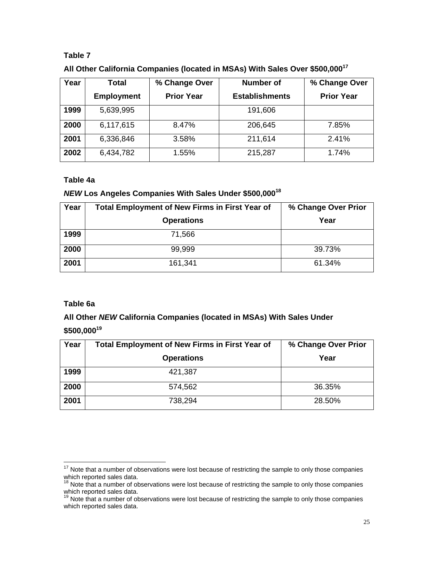| All Other California Companies (located in MSAs) With Sales Over \$500,000 <sup>17</sup> |
|------------------------------------------------------------------------------------------|
|------------------------------------------------------------------------------------------|

| Year | Total             | % Change Over     | Number of             | % Change Over     |
|------|-------------------|-------------------|-----------------------|-------------------|
|      | <b>Employment</b> | <b>Prior Year</b> | <b>Establishments</b> | <b>Prior Year</b> |
| 1999 | 5,639,995         |                   | 191,606               |                   |
| 2000 | 6,117,615         | 8.47%             | 206,645               | 7.85%             |
| 2001 | 6,336,846         | 3.58%             | 211,614               | 2.41%             |
| 2002 | 6,434,782         | 1.55%             | 215,287               | 1.74%             |

## **Table 4a**

# *NEW* **Los Angeles Companies With Sales Under \$500,000<sup>18</sup>**

| Year | <b>Total Employment of New Firms in First Year of</b> | % Change Over Prior |
|------|-------------------------------------------------------|---------------------|
|      | <b>Operations</b>                                     | Year                |
| 1999 | 71,566                                                |                     |
| 2000 | 99,999                                                | 39.73%              |
| 2001 | 161,341                                               | 61.34%              |

# **Table 6a**

# **All Other** *NEW* **California Companies (located in MSAs) With Sales Under**

# **\$500,000<sup>19</sup>**

| Year | <b>Total Employment of New Firms in First Year of</b> | % Change Over Prior |
|------|-------------------------------------------------------|---------------------|
|      | <b>Operations</b>                                     | Year                |
| 1999 | 421,387                                               |                     |
| 2000 | 574,562                                               | 36.35%              |
| 2001 | 738,294                                               | 28.50%              |

 $\overline{a}$  $17$  Note that a number of observations were lost because of restricting the sample to only those companies which reported sales data.

 $18$  Note that a number of observations were lost because of restricting the sample to only those companies which reported sales data.

 $19$  Note that a number of observations were lost because of restricting the sample to only those companies which reported sales data.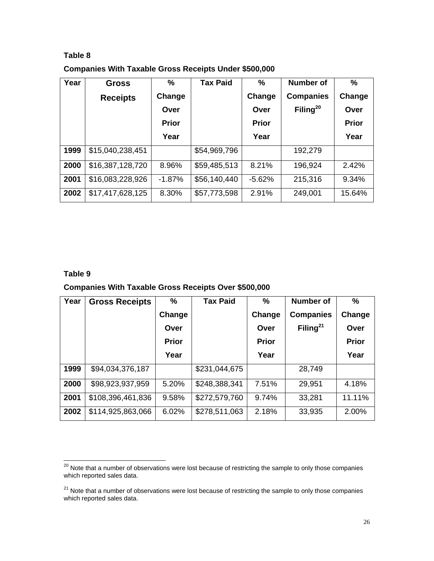**Companies With Taxable Gross Receipts Under \$500,000** 

| Year | <b>Gross</b>     | %            | <b>Tax Paid</b> | $\frac{9}{6}$ | Number of            | $\frac{9}{6}$ |
|------|------------------|--------------|-----------------|---------------|----------------------|---------------|
|      | <b>Receipts</b>  | Change       |                 | Change        | <b>Companies</b>     | Change        |
|      |                  | Over         |                 | Over          | Filing <sup>20</sup> | Over          |
|      |                  | <b>Prior</b> |                 | <b>Prior</b>  |                      | <b>Prior</b>  |
|      |                  | Year         |                 | Year          |                      | Year          |
| 1999 | \$15,040,238,451 |              | \$54,969,796    |               | 192,279              |               |
| 2000 | \$16,387,128,720 | 8.96%        | \$59,485,513    | 8.21%         | 196,924              | 2.42%         |
| 2001 | \$16,083,228,926 | $-1.87%$     | \$56,140,440    | $-5.62%$      | 215,316              | 9.34%         |
| 2002 | \$17,417,628,125 | 8.30%        | \$57,773,598    | 2.91%         | 249,001              | 15.64%        |

## **Table 9**

## **Companies With Taxable Gross Receipts Over \$500,000**

| Year | <b>Gross Receipts</b> | $\frac{9}{6}$ | <b>Tax Paid</b> | $\frac{9}{6}$ | Number of            | %            |
|------|-----------------------|---------------|-----------------|---------------|----------------------|--------------|
|      |                       | Change        |                 | Change        | <b>Companies</b>     | Change       |
|      |                       | Over          |                 | Over          | Filing <sup>21</sup> | Over         |
|      |                       | <b>Prior</b>  |                 | <b>Prior</b>  |                      | <b>Prior</b> |
|      |                       | Year          |                 | Year          |                      | Year         |
| 1999 | \$94,034,376,187      |               | \$231,044,675   |               | 28,749               |              |
| 2000 | \$98,923,937,959      | 5.20%         | \$248,388,341   | 7.51%         | 29,951               | 4.18%        |
| 2001 | \$108,396,461,836     | 9.58%         | \$272,579,760   | 9.74%         | 33,281               | 11.11%       |
| 2002 | \$114,925,863,066     | 6.02%         | \$278,511,063   | 2.18%         | 33,935               | 2.00%        |

 $\overline{a}$  $^{20}$  Note that a number of observations were lost because of restricting the sample to only those companies which reported sales data.

 $21$  Note that a number of observations were lost because of restricting the sample to only those companies which reported sales data.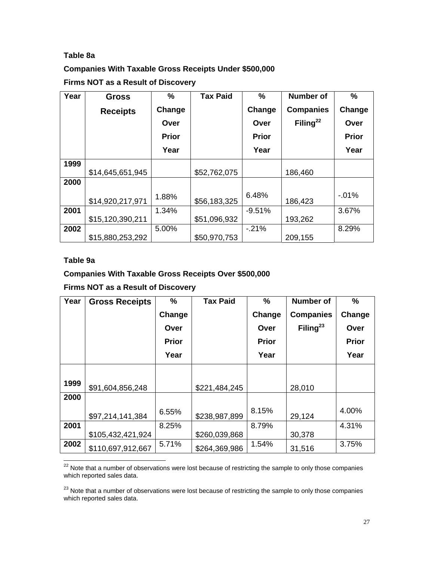# **Table 8a**

# **Companies With Taxable Gross Receipts Under \$500,000**

**Firms NOT as a Result of Discovery** 

| Year | <b>Gross</b>     | %            | <b>Tax Paid</b> | %            | <b>Number of</b>     | %            |
|------|------------------|--------------|-----------------|--------------|----------------------|--------------|
|      | <b>Receipts</b>  | Change       |                 | Change       | <b>Companies</b>     | Change       |
|      |                  | Over         |                 | Over         | Filing <sup>22</sup> | Over         |
|      |                  | <b>Prior</b> |                 | <b>Prior</b> |                      | <b>Prior</b> |
|      |                  | Year         |                 | Year         |                      | Year         |
| 1999 |                  |              |                 |              |                      |              |
|      | \$14,645,651,945 |              | \$52,762,075    |              | 186,460              |              |
| 2000 |                  |              |                 |              |                      |              |
|      | \$14,920,217,971 | 1.88%        | \$56,183,325    | 6.48%        | 186,423              | $-0.01%$     |
| 2001 |                  | 1.34%        |                 | $-9.51%$     |                      | 3.67%        |
|      | \$15,120,390,211 |              | \$51,096,932    |              | 193,262              |              |
| 2002 |                  | 5.00%        |                 | $-21%$       |                      | 8.29%        |
|      | \$15,880,253,292 |              | \$50,970,753    |              | 209,155              |              |

## **Table 9a**

# **Companies With Taxable Gross Receipts Over \$500,000**

**Firms NOT as a Result of Discovery** 

| Year | <b>Gross Receipts</b> | $\frac{9}{6}$ | <b>Tax Paid</b> | $\frac{0}{0}$ | <b>Number of</b>     | %            |
|------|-----------------------|---------------|-----------------|---------------|----------------------|--------------|
|      |                       | Change        |                 | Change        | <b>Companies</b>     | Change       |
|      |                       | Over          |                 | Over          | Filing <sup>23</sup> | Over         |
|      |                       | <b>Prior</b>  |                 | <b>Prior</b>  |                      | <b>Prior</b> |
|      |                       | Year          |                 | Year          |                      | Year         |
|      |                       |               |                 |               |                      |              |
| 1999 | \$91,604,856,248      |               | \$221,484,245   |               | 28,010               |              |
| 2000 |                       |               |                 |               |                      |              |
|      | \$97,214,141,384      | 6.55%         | \$238,987,899   | 8.15%         | 29,124               | 4.00%        |
| 2001 |                       | 8.25%         |                 | 8.79%         |                      | 4.31%        |
|      | \$105,432,421,924     |               | \$260,039,868   |               | 30,378               |              |
| 2002 | \$110,697,912,667     | 5.71%         | \$264,369,986   | 1.54%         | 31,516               | 3.75%        |

 $\overline{a}$  $22$  Note that a number of observations were lost because of restricting the sample to only those companies which reported sales data.

<sup>23</sup> Note that a number of observations were lost because of restricting the sample to only those companies which reported sales data.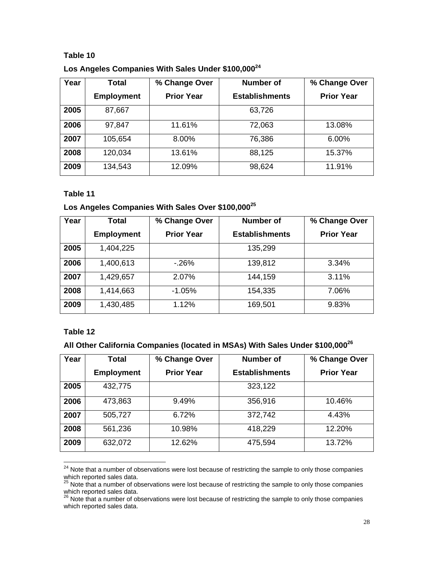**Los Angeles Companies With Sales Under \$100,000<sup>24</sup>**

| Year | Total             | % Change Over     | <b>Number of</b>      | % Change Over     |
|------|-------------------|-------------------|-----------------------|-------------------|
|      | <b>Employment</b> | <b>Prior Year</b> | <b>Establishments</b> | <b>Prior Year</b> |
| 2005 | 87,667            |                   | 63,726                |                   |
| 2006 | 97,847            | 11.61%            | 72,063                | 13.08%            |
| 2007 | 105,654           | 8.00%             | 76,386                | 6.00%             |
| 2008 | 120,034           | 13.61%            | 88,125                | 15.37%            |
| 2009 | 134,543           | 12.09%            | 98,624                | 11.91%            |

### **Table 11**

# **Los Angeles Companies With Sales Over \$100,00025**

| Year | Total             | % Change Over     | <b>Number of</b>      | % Change Over     |
|------|-------------------|-------------------|-----------------------|-------------------|
|      | <b>Employment</b> | <b>Prior Year</b> | <b>Establishments</b> | <b>Prior Year</b> |
| 2005 | 1,404,225         |                   | 135,299               |                   |
| 2006 | 1,400,613         | $-26%$            | 139,812               | 3.34%             |
| 2007 | 1,429,657         | 2.07%             | 144,159               | 3.11%             |
| 2008 | 1,414,663         | $-1.05%$          | 154,335               | 7.06%             |
| 2009 | 1,430,485         | 1.12%             | 169,501               | 9.83%             |

## **Table 12**

 $\overline{a}$ 

# **All Other California Companies (located in MSAs) With Sales Under \$100,000<sup>26</sup>**

| Year | Total             | % Change Over     | <b>Number of</b>      | % Change Over     |
|------|-------------------|-------------------|-----------------------|-------------------|
|      | <b>Employment</b> | <b>Prior Year</b> | <b>Establishments</b> | <b>Prior Year</b> |
| 2005 | 432,775           |                   | 323,122               |                   |
| 2006 | 473,863           | 9.49%             | 356,916               | 10.46%            |
| 2007 | 505,727           | 6.72%             | 372,742               | 4.43%             |
| 2008 | 561,236           | 10.98%            | 418,229               | 12.20%            |
| 2009 | 632,072           | 12.62%            | 475,594               | 13.72%            |

 $24$  Note that a number of observations were lost because of restricting the sample to only those companies which reported sales data.

 $25$  Note that a number of observations were lost because of restricting the sample to only those companies which reported sales data.

 $26$  Note that a number of observations were lost because of restricting the sample to only those companies which reported sales data.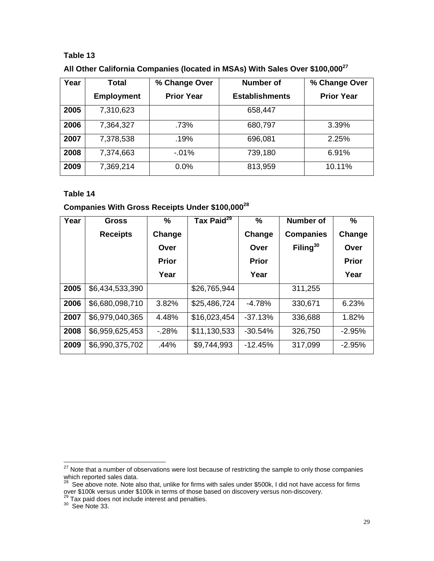|  |  | All Other California Companies (located in MSAs) With Sales Over \$100,000 <sup>27</sup> |
|--|--|------------------------------------------------------------------------------------------|
|--|--|------------------------------------------------------------------------------------------|

| Year | Total             | % Change Over     | Number of             | % Change Over     |  |
|------|-------------------|-------------------|-----------------------|-------------------|--|
|      | <b>Employment</b> | <b>Prior Year</b> | <b>Establishments</b> | <b>Prior Year</b> |  |
| 2005 | 7,310,623         |                   | 658,447               |                   |  |
| 2006 | 7,364,327         | .73%              | 680,797               | 3.39%             |  |
| 2007 | 7,378,538         | .19%              | 696,081               | 2.25%             |  |
| 2008 | 7,374,663         | $-01\%$           | 739,180               | 6.91%             |  |
| 2009 | 7,369,214         | 0.0%              | 813,959               | 10.11%            |  |

## **Table 14**

# **Companies With Gross Receipts Under \$100,000<sup>28</sup>**

| Year | Gross           | $\%$         | Tax Paid <sup>29</sup> | $\frac{9}{6}$ | <b>Number of</b> | $\%$         |
|------|-----------------|--------------|------------------------|---------------|------------------|--------------|
|      | <b>Receipts</b> | Change       |                        | Change        | <b>Companies</b> | Change       |
|      |                 | Over         |                        | Over          | Filing $30$      | Over         |
|      |                 | <b>Prior</b> |                        | <b>Prior</b>  |                  | <b>Prior</b> |
|      |                 | Year         |                        | Year          |                  | Year         |
| 2005 | \$6,434,533,390 |              | \$26,765,944           |               | 311,255          |              |
| 2006 | \$6,680,098,710 | 3.82%        | \$25,486,724           | $-4.78%$      | 330,671          | 6.23%        |
| 2007 | \$6,979,040,365 | 4.48%        | \$16,023,454           | $-37.13%$     | 336,688          | 1.82%        |
| 2008 | \$6,959,625,453 | $-28%$       | \$11,130,533           | $-30.54%$     | 326,750          | $-2.95%$     |
| 2009 | \$6,990,375,702 | .44%         | \$9,744,993            | $-12.45%$     | 317,099          | $-2.95%$     |

 $\overline{a}$  $\overline{27}$  Note that a number of observations were lost because of restricting the sample to only those companies which reported sales data.

 $^{28}$  See above note. Note also that, unlike for firms with sales under \$500k, I did not have access for firms over \$100k versus under \$100k in terms of those based on discovery versus non-discovery.

 $^{29}$  Tax paid does not include interest and penalties.<br> $^{30}$  See Note 33.